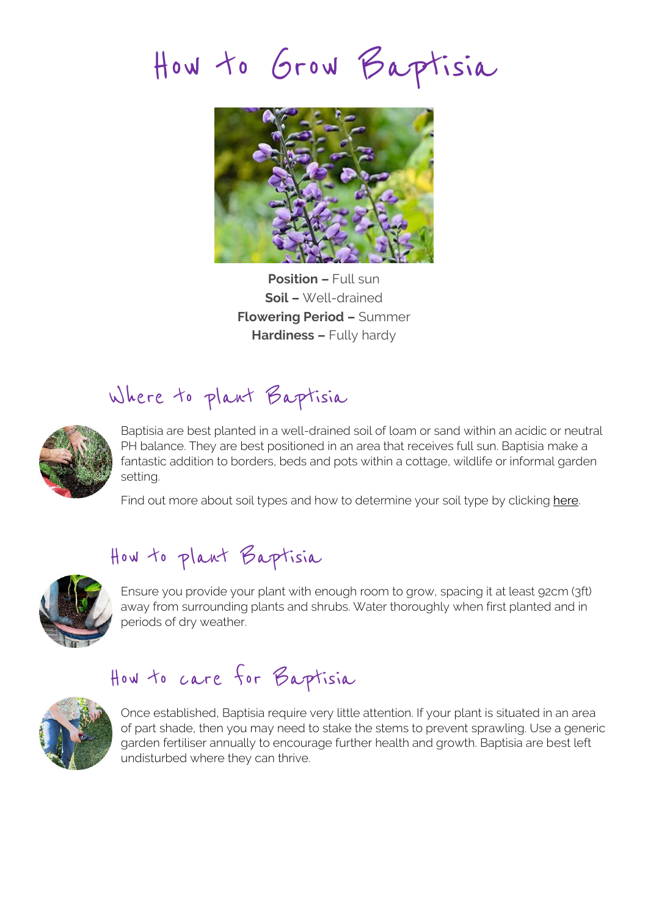How to Grow Baptisia



**Position –** Full sun **Soil –** Well-drained **Flowering Period –** Summer **Hardiness –** Fully hardy

## Where to plant Baptisia



Baptisia are best planted in a well-drained soil of loam or sand within an acidic or neutral PH balance. They are best positioned in an area that receives full sun. Baptisia make a fantastic addition to borders, beds and pots within a cottage, wildlife or informal garden setting.

Find out more about soil types and how to determine your soil type by clicking [here.](http://www.hayloft.co.uk/soil_types)

## How to plant Baptisia



Ensure you provide your plant with enough room to grow, spacing it at least 92cm (3ft) away from surrounding plants and shrubs. Water thoroughly when first planted and in periods of dry weather.

## How to care for Baptisia



Once established, Baptisia require very little attention. If your plant is situated in an area of part shade, then you may need to stake the stems to prevent sprawling. Use a generic garden fertiliser annually to encourage further health and growth. Baptisia are best left undisturbed where they can thrive.